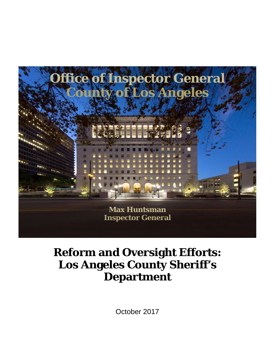

# **Reform and Oversight Efforts: Los Angeles County Sheriff's Department**

October 2017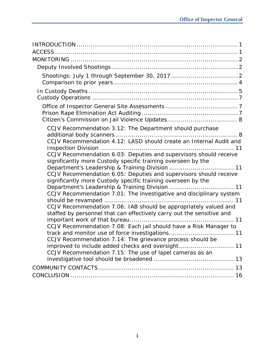| CCJV Recommendation 3.12: The Department should purchase<br>CCJV Recommendation 4.12: LASD should create an Internal Audit and<br>CCJV Recommendation 6.03: Deputies and supervisors should receive<br>significantly more Custody specific training overseen by the<br>CCJV Recommendation 6.05: Deputies and supervisors should receive<br>significantly more Custody specific training overseen by the<br>CCJV Recommendation 7.01: The investigative and disciplinary system<br>CCJV Recommendation 7.06: IAB should be appropriately valued and<br>staffed by personnel that can effectively carry out the sensitive and |
|------------------------------------------------------------------------------------------------------------------------------------------------------------------------------------------------------------------------------------------------------------------------------------------------------------------------------------------------------------------------------------------------------------------------------------------------------------------------------------------------------------------------------------------------------------------------------------------------------------------------------|
| CCJV Recommendation 7.08: Each jail should have a Risk Manager to<br>CCJV Recommendation 7.14: The grievance process should be<br>improved to include added checks and oversight 11<br>CCJV Recommendation 7.15: The use of lapel cameras as an                                                                                                                                                                                                                                                                                                                                                                              |
|                                                                                                                                                                                                                                                                                                                                                                                                                                                                                                                                                                                                                              |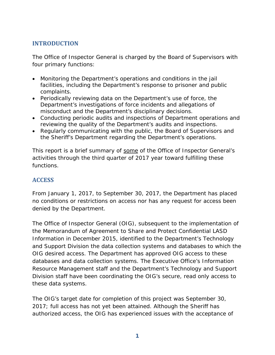# **INTRODUCTION**

The Office of Inspector General is charged by the Board of Supervisors with four primary functions:

- Monitoring the Department's operations and conditions in the jail facilities, including the Department's response to prisoner and public complaints.
- Periodically reviewing data on the Department's use of force, the Department's investigations of force incidents and allegations of misconduct and the Department's disciplinary decisions.
- Conducting periodic audits and inspections of Department operations and reviewing the quality of the Department's audits and inspections.
- Regularly communicating with the public, the Board of Supervisors and the Sheriff's Department regarding the Department's operations.

This report is a brief summary of some of the Office of Inspector General's activities through the third quarter of 2017 year toward fulfilling these functions.

## **ACCESS**

From January 1, 2017, to September 30, 2017, the Department has placed no conditions or restrictions on access nor has any request for access been denied by the Department.

The Office of Inspector General (OIG), subsequent to the implementation of the Memorandum of Agreement to Share and Protect Confidential LASD Information in December 2015, identified to the Department's Technology and Support Division the data collection systems and databases to which the OIG desired access. The Department has approved OIG access to these databases and data collection systems. The Executive Office's Information Resource Management staff and the Department's Technology and Support Division staff have been coordinating the OIG's secure, read only access to these data systems.

The OIG's target date for completion of this project was September 30, 2017; full access has not yet been attained. Although the Sheriff has authorized access, the OIG has experienced issues with the acceptance of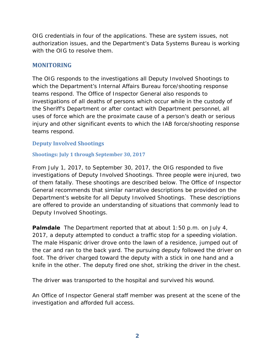OIG credentials in four of the applications. These are system issues, not authorization issues, and the Department's Data Systems Bureau is working with the OIG to resolve them.

#### **MONITORING**

The OIG responds to the investigations all Deputy Involved Shootings to which the Department's Internal Affairs Bureau force/shooting response teams respond. The Office of Inspector General also responds to investigations of all deaths of persons which occur while in the custody of the Sheriff's Department or after contact with Department personnel, all uses of force which are the proximate cause of a person's death or serious injury and other significant events to which the IAB force/shooting response teams respond.

#### **Deputy Involved Shootings**

#### **Shootings: July 1 through September 30, 2017**

From July 1, 2017, to September 30, 2017, the OIG responded to five investigations of Deputy Involved Shootings. Three people were injured, two of them fatally. These shootings are described below. The Office of Inspector General recommends that similar narrative descriptions be provided on the Department's website for all Deputy Involved Shootings. These descriptions are offered to provide an understanding of situations that commonly lead to Deputy Involved Shootings.

**Palmdale** The Department reported that at about 1:50 p.m. on July 4, 2017, a deputy attempted to conduct a traffic stop for a speeding violation. The male Hispanic driver drove onto the lawn of a residence, jumped out of the car and ran to the back yard. The pursuing deputy followed the driver on foot. The driver charged toward the deputy with a stick in one hand and a knife in the other. The deputy fired one shot, striking the driver in the chest.

The driver was transported to the hospital and survived his wound.

An Office of Inspector General staff member was present at the scene of the investigation and afforded full access.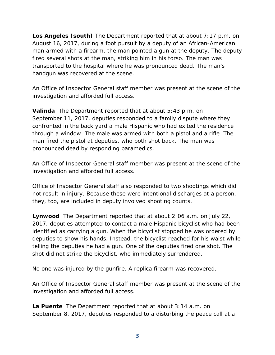**Los Angeles (south)** The Department reported that at about 7:17 p.m. on August 16, 2017, during a foot pursuit by a deputy of an African-American man armed with a firearm, the man pointed a gun at the deputy. The deputy fired several shots at the man, striking him in his torso. The man was transported to the hospital where he was pronounced dead. The man's handgun was recovered at the scene.

An Office of Inspector General staff member was present at the scene of the investigation and afforded full access.

**Valinda** The Department reported that at about 5:43 p.m. on September 11, 2017, deputies responded to a family dispute where they confronted in the back yard a male Hispanic who had exited the residence through a window. The male was armed with both a pistol and a rifle. The man fired the pistol at deputies, who both shot back. The man was pronounced dead by responding paramedics.

An Office of Inspector General staff member was present at the scene of the investigation and afforded full access.

Office of Inspector General staff also responded to two shootings which did not result in injury. Because these were intentional discharges at a person, they, too, are included in deputy involved shooting counts.

**Lynwood** The Department reported that at about 2:06 a.m. on July 22, 2017, deputies attempted to contact a male Hispanic bicyclist who had been identified as carrying a gun. When the bicyclist stopped he was ordered by deputies to show his hands. Instead, the bicyclist reached for his waist while telling the deputies he had a gun. One of the deputies fired one shot. The shot did not strike the bicyclist, who immediately surrendered.

No one was injured by the gunfire. A replica firearm was recovered.

An Office of Inspector General staff member was present at the scene of the investigation and afforded full access.

**La Puente** The Department reported that at about 3:14 a.m. on September 8, 2017, deputies responded to a disturbing the peace call at a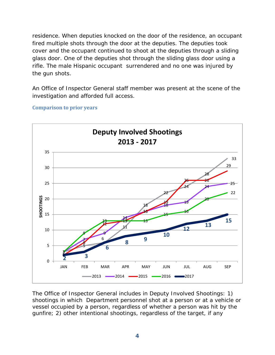residence. When deputies knocked on the door of the residence, an occupant fired multiple shots through the door at the deputies. The deputies took cover and the occupant continued to shoot at the deputies through a sliding glass door. One of the deputies shot through the sliding glass door using a rifle. The male Hispanic occupant surrendered and no one was injured by the gun shots.

An Office of Inspector General staff member was present at the scene of the investigation and afforded full access.

 26 26  $13 - 13$  13 **3 <sup>9</sup> <sup>13</sup>** JAN FEB MAR APR MAY JUN JUL AUG SEP **SHOOTINGS Deputy Involved Shootings ‐ 2017** 2013 2014 2015 2016 2017

**Comparison to prior years**

The Office of Inspector General includes in Deputy Involved Shootings: 1) shootings in which Department personnel shot at a person or at a vehicle or vessel occupied by a person, regardless of whether a person was hit by the gunfire; 2) other intentional shootings, regardless of the target, if any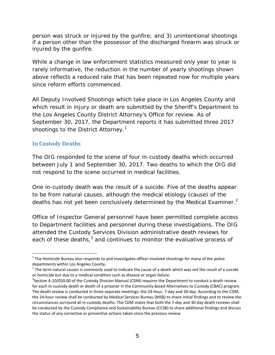person was struck or injured by the gunfire; and 3) unintentional shootings if a person other than the possessor of the discharged firearm was struck or injured by the gunfire.

While a change in law enforcement statistics measured only year to year is rarely informative, the reduction in the number of yearly shootings shown above reflects a reduced rate that has been repeated now for multiple years since reform efforts commenced.

All Deputy Involved Shootings which take place in Los Angeles County and which result in injury or death are submitted by the Sheriff's Department to the Los Angeles County District Attorney's Office for review. As of September 30, 2017, the Department reports it has submitted three 2017 shootings to the District Attorney.<sup>1</sup>

#### **In Custody Deaths**

 $\overline{a}$ 

The OIG responded to the scene of four in-custody deaths which occurred between July 1 and September 30, 2017. Two deaths to which the OIG did not respond to the scene occurred in medical facilities.

One in-custody death was the result of a suicide. Five of the deaths appear to be from natural causes, although the medical etiology (cause) of the deaths has not yet been conclusively determined by the Medical Examiner.<sup>2</sup>

Office of Inspector General personnel have been permitted complete access to Department facilities and personnel during these investigations. The OIG attended the Custody Services Division administrative death reviews for each of these deaths, $3$  and continues to monitor the evaluative process of

 $1$  The Homicide Bureau also responds to and investigates officer involved shootings for many of the police departments within Los Angeles County.

 $^2$  The term natural causes is commonly used to indicate the cause of a death which was not the result of a suicide or homicide but due to a medical condition such as disease or organ failure.

<sup>&</sup>lt;sup>3</sup>Section 4-10/050.00 of the Custody Division Manual (CDM) requires the Department to conduct a death review for each in-custody death or death of a prisoner in the Community Based Alternatives to Custody (CBAC) program. The death review is conducted in three separate meetings: the 24‐hour, 7‐day and 30‐day. According to the CDM, the 24‐hour review shall be conducted by Medical Services Bureau (MSB) to share initial findings and to review the circumstances surround all in‐custody deaths. The CDM states that both the 7‐day and 30‐day death reviews shall be conducted by the Custody Compliance and Sustainability Bureau (CCSB) to share additional findings and discuss the status of any corrective or preventive actions taken since the previous review.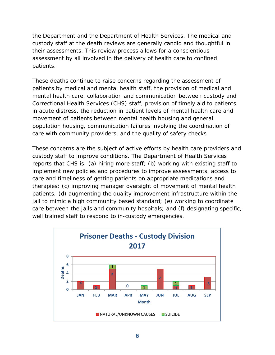the Department and the Department of Health Services. The medical and custody staff at the death reviews are generally candid and thoughtful in their assessments. This review process allows for a conscientious assessment by all involved in the delivery of health care to confined patients.

These deaths continue to raise concerns regarding the assessment of patients by medical and mental health staff, the provision of medical and mental health care, collaboration and communication between custody and Correctional Health Services (CHS) staff, provision of timely aid to patients in acute distress, the reduction in patient levels of mental health care and movement of patients between mental health housing and general population housing, communication failures involving the coordination of care with community providers, and the quality of safety checks.

These concerns are the subject of active efforts by health care providers and custody staff to improve conditions. The Department of Health Services reports that CHS is: (a) hiring more staff; (b) working with existing staff to implement new policies and procedures to improve assessments, access to care and timeliness of getting patients on appropriate medications and therapies; (c) improving manager oversight of movement of mental health patients; (d) augmenting the quality improvement infrastructure within the jail to mimic a high community based standard; (e) working to coordinate care between the jails and community hospitals; and (f) designating specific, well trained staff to respond to in-custody emergencies.

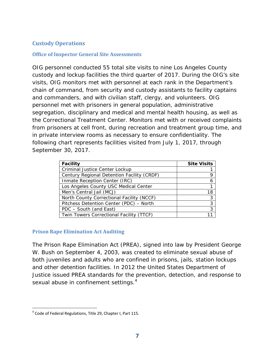### **Custody Operations**

#### **Office of Inspector General Site Assessments**

OIG personnel conducted 55 total site visits to nine Los Angeles County custody and lockup facilities the third quarter of 2017. During the OIG's site visits, OIG monitors met with personnel at each rank in the Department's chain of command, from security and custody assistants to facility captains and commanders, and with civilian staff, clergy, and volunteers. OIG personnel met with prisoners in general population, administrative segregation, disciplinary and medical and mental health housing, as well as the Correctional Treatment Center. Monitors met with or received complaints from prisoners at cell front, during recreation and treatment group time, and in private interview rooms as necessary to ensure confidentiality. The following chart represents facilities visited from July 1, 2017, through September 30, 2017.

| <b>Facility</b>                            | <b>Site Visits</b> |
|--------------------------------------------|--------------------|
| Criminal Justice Center Lockup             |                    |
| Century Regional Detention Facility (CRDF) |                    |
| Inmate Reception Center (IRC)              |                    |
| Los Angeles County USC Medical Center      |                    |
| Men's Central Jail (MCJ)                   |                    |
| North County Correctional Facility (NCCF)  | 3                  |
| Pitchess Detention Center (PDC) - North    |                    |
| PDC - South (and East)                     |                    |
| Twin Towers Correctional Facility (TTCF)   |                    |

#### **Prison Rape Elimination Act Auditing**

The Prison Rape Elimination Act (PREA), signed into law by President George W. Bush on September 4, 2003, was created to eliminate sexual abuse of both juveniles and adults who are confined in prisons, jails, station lockups and other detention facilities. In 2012 the United States Department of Justice issued PREA standards for the prevention, detection, and response to sexual abuse in confinement settings.<sup>4</sup>

 $^4$  Code of Federal Regulations, Title 29, Chapter I, Part 115.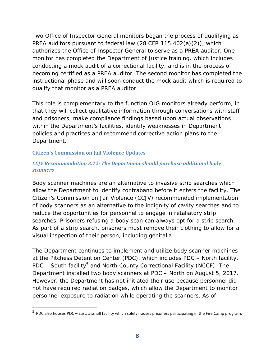Two Office of Inspector General monitors began the process of qualifying as PREA auditors pursuant to federal law (28 CFR 115.402(a)(2)), which authorizes the Office of Inspector General to serve as a PREA auditor. One monitor has completed the Department of Justice training, which includes conducting a mock audit of a correctional facility, and is in the process of becoming certified as a PREA auditor. The second monitor has completed the instructional phase and will soon conduct the mock audit which is required to qualify that monitor as a PREA auditor.

This role is complementary to the function OIG monitors already perform, in that they will collect qualitative information through conversations with staff and prisoners, make compliance findings based upon actual observations within the Department's facilities, identify weaknesses in Department policies and practices and recommend corrective action plans to the Department.

#### **Citizen's Commission on Jail Violence Updates**

 $\overline{a}$ 

#### *CCJV Recommendation 3.12: The Department should purchase additional body scanners*

Body scanner machines are an alternative to invasive strip searches which allow the Department to identify contraband before it enters the facility. The Citizen's Commission on Jail Violence (CCJV) recommended implementation of body scanners as an alternative to the indignity of cavity searches and to reduce the opportunities for personnel to engage in retaliatory strip searches. Prisoners refusing a body scan can always opt for a strip search. As part of a strip search, prisoners must remove their clothing to allow for a visual inspection of their person, including genitalia.

The Department continues to implement and utilize body scanner machines at the Pitchess Detention Center (PDC), which includes PDC – North facility, PDC – South facility<sup>5</sup> and North County Correctional Facility (NCCF). The Department installed two body scanners at PDC – North on August 5, 2017. However, the Department has not initiated their use because personnel did not have required radiation badges, which allow the Department to monitor personnel exposure to radiation while operating the scanners. As of

 $^5$  PDC also houses PDC – East, a small facility which solely houses prisoners participating in the Fire Camp program.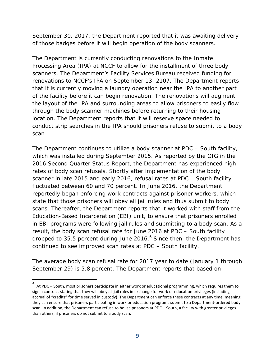September 30, 2017, the Department reported that it was awaiting delivery of those badges before it will begin operation of the body scanners.

The Department is currently conducting renovations to the Inmate Processing Area (IPA) at NCCF to allow for the installment of three body scanners. The Department's Facility Services Bureau received funding for renovations to NCCF's IPA on September 13, 2107. The Department reports that it is currently moving a laundry operation near the IPA to another part of the facility before it can begin renovation. The renovations will augment the layout of the IPA and surrounding areas to allow prisoners to easily flow through the body scanner machines before returning to their housing location. The Department reports that it will reserve space needed to conduct strip searches in the IPA should prisoners refuse to submit to a body scan.

The Department continues to utilize a body scanner at PDC – South facility, which was installed during September 2015. As reported by the OIG in the *2016 Second Quarter Status Report*, the Department has experienced high rates of body scan refusals. Shortly after implementation of the body scanner in late 2015 and early 2016, refusal rates at PDC – South facility fluctuated between 60 and 70 percent. In June 2016, the Department reportedly began enforcing work contracts against prisoner workers, which state that those prisoners will obey all jail rules and thus submit to body scans. Thereafter, the Department reports that it worked with staff from the Education-Based Incarceration (EBI) unit, to ensure that prisoners enrolled in EBI programs were following jail rules and submitting to a body scan. As a result, the body scan refusal rate for June 2016 at PDC – South facility dropped to 35.5 percent during June 2016.<sup>6</sup> Since then, the Department has continued to see improved scan rates at PDC – South facility.

The average body scan refusal rate for 2017 year to date (January 1 through September 29) is 5.8 percent. The Department reports that based on

<sup>6</sup> At PDC – South, most prisoners participate in either work or educational programming, which requires them to sign a contract stating that they will obey all jail rules in exchange for work or education privileges (including accrual of "credits" for time served in custody). The Department can enforce these contracts at any time, meaning they can ensure that prisoners participating in work or education programs submit to a Department‐ordered body scan. In addition, the Department can refuse to house prisoners at PDC – South, a facility with greater privileges than others, if prisoners do not submit to a body scan.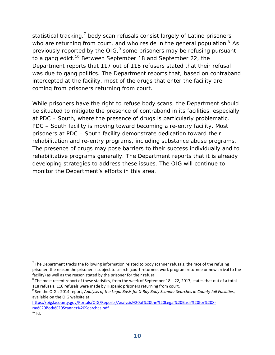statistical tracking,<sup>7</sup> body scan refusals consist largely of Latino prisoners who are returning from court, and who reside in the general population. $8$  As previously reported by the OIG, $9$  some prisoners may be refusing pursuant to a gang edict.<sup>10</sup> Between September 18 and September 22, the Department reports that 117 out of 118 refusers stated that their refusal was due to gang politics. The Department reports that, based on contraband intercepted at the facility, most of the drugs that enter the facility are coming from prisoners returning from court.

While prisoners have the right to refuse body scans, the Department should be situated to mitigate the presence of contraband in its facilities, especially at PDC – South, where the presence of drugs is particularly problematic. PDC – South facility is moving toward becoming a re-entry facility. Most prisoners at PDC – South facility demonstrate dedication toward their rehabilitation and re-entry programs, including substance abuse programs. The presence of drugs may pose barriers to their success individually and to rehabilitative programs generally. The Department reports that it is already developing strategies to address these issues. The OIG will continue to monitor the Department's efforts in this area.

 $<sup>7</sup>$  The Department tracks the following information related to body scanner refusals: the race of the refusing</sup> prisoner, the reason the prisoner is subject to search (court returnee, work program returnee or new arrival to the facility) as well as the reason stated by the prisoner for their refusal.<br>
<sup>8</sup> The most recent report of these statistics, from the week of September 18 – 22, 2017, states that out of a total

<sup>118</sup> refusals, 116 refusals were made by Hispanic prisoners returning from court.<br><sup>9</sup> See the OIG's 2014 report, Analysis of the Legal Basis for X-Ray Body Scanner Searches in County Jail Facilities, available on the OIG website at:

https://oig.lacounty.gov/Portals/OIG/Reports/Analysis%20of%20the%20Legal%20Basis%20for%20X‐ ray%20Body%20Scanner%20Searches.pdf

 $10$  Id.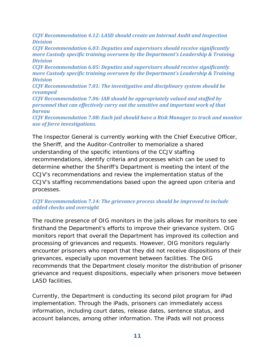*CCJV Recommendation 4.12: LASD should create an Internal Audit and Inspection Division* 

*CCJV Recommendation 6.03: Deputies and supervisors should receive significantly more Custody specific training overseen by the Department's Leadership & Training Division*

*CCJV Recommendation 6.05: Deputies and supervisors should receive significantly more Custody specific training overseen by the Department's Leadership & Training Division*

*CCJV Recommendation 7.01: The investigative and disciplinary system should be revamped* 

*CCJV Recommendation 7.06: IAB should be appropriately valued and staffed by personnel that can effectively carry out the sensitive and important work of that bureau*

*CCJV Recommendation 7.08: Each jail should have a Risk Manager to track and monitor use of force investigations.*

The Inspector General is currently working with the Chief Executive Officer, the Sheriff, and the Auditor-Controller to memorialize a shared understanding of the specific intentions of the CCJV staffing recommendations, identify criteria and processes which can be used to determine whether the Sheriff's Department is meeting the intent of the CCJV's recommendations and review the implementation status of the CCJV's staffing recommendations based upon the agreed upon criteria and processes.

#### *CCJV Recommendation 7.14: The grievance process should be improved to include added checks and oversight*

The routine presence of OIG monitors in the jails allows for monitors to see firsthand the Department's efforts to improve their grievance system. OIG monitors report that overall the Department has improved its collection and processing of grievances and requests. However, OIG monitors regularly encounter prisoners who report that they did not receive dispositions of their grievances, especially upon movement between facilities. The OIG recommends that the Department closely monitor the distribution of prisoner grievance and request dispositions, especially when prisoners move between LASD facilities.

Currently, the Department is conducting its second pilot program for iPad implementation. Through the iPads, prisoners can immediately access information, including court dates, release dates, sentence status, and account balances, among other information. The iPads will not process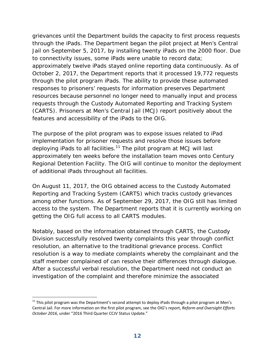grievances until the Department builds the capacity to first process requests through the iPads. The Department began the pilot project at Men's Central Jail on September 5, 2017, by installing twenty iPads on the 2000 floor. Due to connectivity issues, some iPads were unable to record data; approximately twelve iPads stayed online reporting data continuously. As of October 2, 2017, the Department reports that it processed 19,772 requests through the pilot program iPads. The ability to provide these automated responses to prisoners' requests for information preserves Department resources because personnel no longer need to manually input and process requests through the Custody Automated Reporting and Tracking System (CARTS). Prisoners at Men's Central Jail (MCJ) report positively about the features and accessibility of the iPads to the OIG.

The purpose of the pilot program was to expose issues related to iPad implementation for prisoner requests and resolve those issues before deploying iPads to all facilities.<sup>11</sup> The pilot program at MCJ will last approximately ten weeks before the installation team moves onto Century Regional Detention Facility. The OIG will continue to monitor the deployment of additional iPads throughout all facilities.

On August 11, 2017, the OIG obtained access to the Custody Automated Reporting and Tracking System (CARTS) which tracks custody grievances among other functions. As of September 29, 2017, the OIG still has limited access to the system. The Department reports that it is currently working on getting the OIG full access to all CARTS modules.

Notably, based on the information obtained through CARTS, the Custody Division successfully resolved twenty complaints this year through conflict resolution, an alternative to the traditional grievance process. Conflict resolution is a way to mediate complaints whereby the complainant and the staff member complained of can resolve their differences through dialogue. After a successful verbal resolution, the Department need not conduct an investigation of the complaint and therefore minimize the associated

 $11$  This pilot program was the Department's second attempt to deploy iPads through a pilot program at Men's Central Jail. For more information on the first pilot program, see the OIG's report, *Reform and Oversight Efforts October 2016*, under "2016 Third Quarter CCJV Status Update."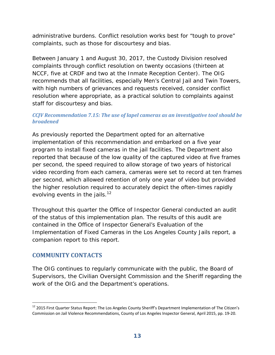administrative burdens. Conflict resolution works best for "tough to prove" complaints, such as those for discourtesy and bias.

Between January 1 and August 30, 2017, the Custody Division resolved complaints through conflict resolution on twenty occasions (thirteen at NCCF, five at CRDF and two at the Inmate Reception Center). The OIG recommends that all facilities, especially Men's Central Jail and Twin Towers, with high numbers of grievances and requests received, consider conflict resolution where appropriate, as a practical solution to complaints against staff for discourtesy and bias.

#### *CCJV Recommendation 7.15: The use of lapel cameras as an investigative tool should be broadened*

As previously reported the Department opted for an alternative implementation of this recommendation and embarked on a five year program to install fixed cameras in the jail facilities. The Department also reported that because of the low quality of the captured video at five frames per second, the speed required to allow storage of two years of historical video recording from each camera, cameras were set to record at ten frames per second, which allowed retention of only one year of video but provided the higher resolution required to accurately depict the often-times rapidly evolving events in the jails.<sup>12</sup>

Throughout this quarter the Office of Inspector General conducted an audit of the status of this implementation plan. The results of this audit are contained in the Office of Inspector General's Evaluation of the Implementation of Fixed Cameras in the Los Angeles County Jails report, a companion report to this report.

#### **COMMUNITY CONTACTS**

 $\overline{a}$ 

The OIG continues to regularly communicate with the public, the Board of Supervisors, the Civilian Oversight Commission and the Sheriff regarding the work of the OIG and the Department's operations.

<sup>&</sup>lt;sup>12</sup> 2015 First Quarter Status Report: The Los Angeles County Sheriff's Department Implementation of The Citizen's Commission on Jail Violence Recommendations, County of Los Angeles Inspector General, April 2015, pp. 19‐20.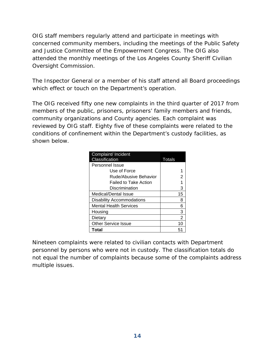OIG staff members regularly attend and participate in meetings with concerned community members, including the meetings of the Public Safety and Justice Committee of the Empowerment Congress. The OIG also attended the monthly meetings of the Los Angeles County Sheriff Civilian Oversight Commission.

The Inspector General or a member of his staff attend all Board proceedings which effect or touch on the Department's operation.

The OIG received fifty one new complaints in the third quarter of 2017 from members of the public, prisoners, prisoners' family members and friends, community organizations and County agencies. Each complaint was reviewed by OIG staff. Eighty five of these complaints were related to the conditions of confinement within the Department's custody facilities, as shown below.

| Complaint/ Incident              |        |
|----------------------------------|--------|
| Classification                   | Totals |
| Personnel Issue                  |        |
| Use of Force                     |        |
| Rude/Abusive Behavior            | 2      |
| <b>Failed to Take Action</b>     |        |
| Discrimination                   | 3      |
| Medical/Dental Issue             | 15     |
| <b>Disability Accommodations</b> | 8      |
| <b>Mental Health Services</b>    | 6      |
| Housing                          | 3      |
| Dietary                          | 2      |
| <b>Other Service Issue</b>       | 10     |
| Total                            | 51     |

Nineteen complaints were related to civilian contacts with Department personnel by persons who were not in custody. The classification totals do not equal the number of complaints because some of the complaints address multiple issues.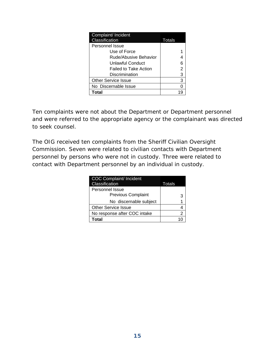| Complaint/ Incident          |        |
|------------------------------|--------|
| Classification               | Totals |
| Personnel Issue              |        |
| Use of Force                 |        |
| Rude/Abusive Behavior        |        |
| Unlawful Conduct             | 6      |
| <b>Failed to Take Action</b> | 2      |
| Discrimination               | 3      |
| <b>Other Service Issue</b>   | 3      |
| No Discernable Issue         |        |
| Total                        |        |

Ten complaints were not about the Department or Department personnel and were referred to the appropriate agency or the complainant was directed to seek counsel.

The OIG received ten complaints from the Sheriff Civilian Oversight Commission. Seven were related to civilian contacts with Department personnel by persons who were not in custody. Three were related to contact with Department personnel by an individual in custody.

| <b>COC Complaint/ Incident</b><br>Classification | Totals |
|--------------------------------------------------|--------|
| Personnel Issue                                  |        |
| <b>Previous Complaint</b>                        | З      |
| No discernable subject                           |        |
| <b>Other Service Issue</b>                       |        |
| No response after COC intake                     | 2      |
| <b>Total</b>                                     |        |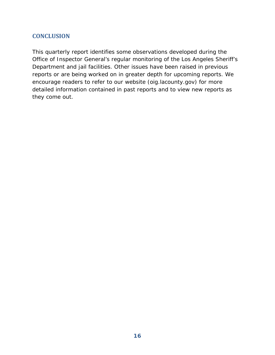### **CONCLUSION**

This quarterly report identifies some observations developed during the Office of Inspector General's regular monitoring of the Los Angeles Sheriff's Department and jail facilities. Other issues have been raised in previous reports or are being worked on in greater depth for upcoming reports. We encourage readers to refer to our website (oig.lacounty.gov) for more detailed information contained in past reports and to view new reports as they come out.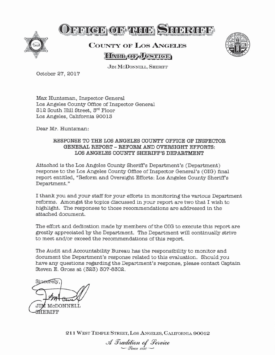

# OFFICE OF THEIR SEINRING

# **COUNTY OF LOS ANGELES HALL**OR JUSTICE



**JIM MCDONNELL, SHERIFF** 

October 27, 2017

Max Huntsman, Inspector General Los Angeles County Office of Inspector General 312 South Hill Street, 3rd Floor Los Angeles, California 90013

Dear Mr. Huntsman:

#### RESPONSE TO THE LOS ANGELES COUNTY OFFICE OF INSPECTOR GENERAL REPORT - REFORM AND OVERSIGHT EFFORTS: LOS ANGELES COUNTY SHERIFF'S DEPARTMENT

Attached is the Los Angeles County Sheriff's Department's (Department) response to the Los Angeles County Office of Inspector General's (OIG) final report entitled, "Reform and Oversight Efforts: Los Angeles County Sheriff's Department."

I thank you and your staff for your efforts in monitoring the various Department reforms. Amongst the topics discussed in your report are two that I wish to highlight. The responses to those recommendations are addressed in the attached document.

The effort and dedication made by members of the OIG to execute this report are greatly appreciated by the Department. The Department will continually strive to meet and/or exceed the recommendations of this report.

The Audit and Accountability Bureau has the responsibility to monitor and document the Department's response related to this evaluation. Should you have any questions regarding the Department's response, please contact Captain Steven E. Gross at (323) 307-8302.

Sineerelv **f** McDONNELL HERIFF

211 WEST TEMPLE STREET, LOS ANGELES, CALIFORNIA 90012

A Tradition of Service